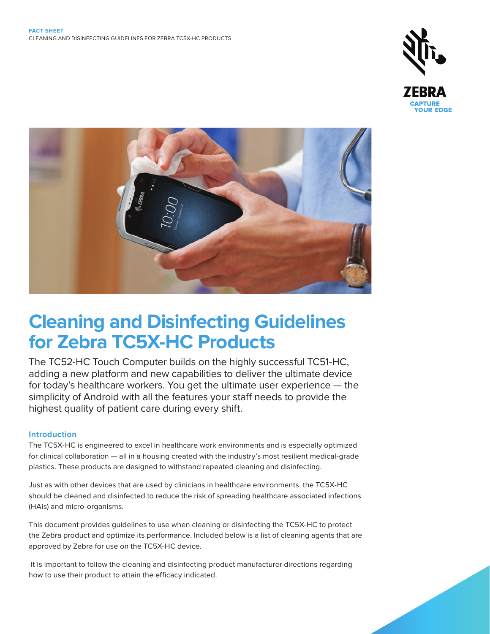



# **Cleaning and Disinfecting Guidelines for Zebra TC5X-HC Products**

The TC52-HC Touch Computer builds on the highly successful TC51-HC, adding a new platform and new capabilities to deliver the ultimate device for today's healthcare workers. You get the ultimate user experience — the simplicity of Android with all the features your staff needs to provide the highest quality of patient care during every shift.

# **Introduction**

The TC5X-HC is engineered to excel in healthcare work environments and is especially optimized for clinical collaboration — all in a housing created with the industry's most resilient medical-grade plastics. These products are designed to withstand repeated cleaning and disinfecting.

Just as with other devices that are used by clinicians in healthcare environments, the TC5X-HC should be cleaned and disinfected to reduce the risk of spreading healthcare associated infections (HAIs) and micro-organisms.

This document provides guidelines to use when cleaning or disinfecting the TC5X-HC to protect the Zebra product and optimize its performance. Included below is a list of cleaning agents that are approved by Zebra for use on the TC5X-HC device.

 It is important to follow the cleaning and disinfecting product manufacturer directions regarding how to use their product to attain the efficacy indicated.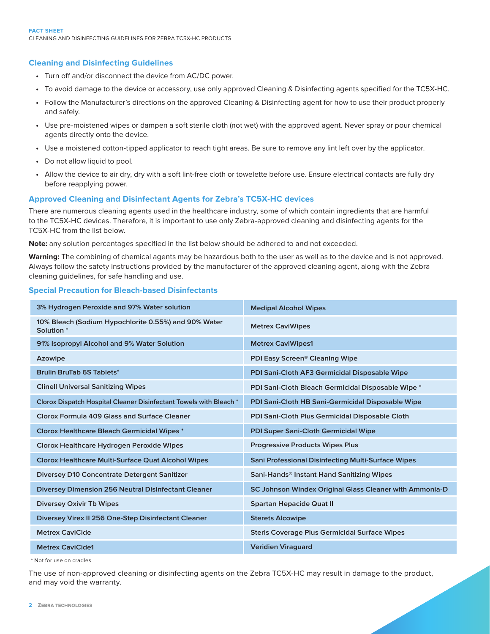## **Cleaning and Disinfecting Guidelines**

- **•** Turn off and/or disconnect the device from AC/DC power.
- **•** To avoid damage to the device or accessory, use only approved Cleaning & Disinfecting agents specified for the TC5X-HC.
- **•** Follow the Manufacturer's directions on the approved Cleaning & Disinfecting agent for how to use their product properly and safely.
- **•** Use pre-moistened wipes or dampen a soft sterile cloth (not wet) with the approved agent. Never spray or pour chemical agents directly onto the device.
- **•** Use a moistened cotton-tipped applicator to reach tight areas. Be sure to remove any lint left over by the applicator.
- **•** Do not allow liquid to pool.
- **•** Allow the device to air dry, dry with a soft lint-free cloth or towelette before use. Ensure electrical contacts are fully dry before reapplying power.

# **Approved Cleaning and Disinfectant Agents for Zebra's TC5X-HC devices**

There are numerous cleaning agents used in the healthcare industry, some of which contain ingredients that are harmful to the TC5X-HC devices. Therefore, it is important to use only Zebra-approved cleaning and disinfecting agents for the TC5X-HC from the list below.

**Note:** any solution percentages specified in the list below should be adhered to and not exceeded.

**Warning:** The combining of chemical agents may be hazardous both to the user as well as to the device and is not approved. Always follow the safety instructions provided by the manufacturer of the approved cleaning agent, along with the Zebra cleaning guidelines, for safe handling and use.

## **Special Precaution for Bleach-based Disinfectants**

| 3% Hydrogen Peroxide and 97% Water solution                                   | <b>Medipal Alcohol Wipes</b>                              |
|-------------------------------------------------------------------------------|-----------------------------------------------------------|
| 10% Bleach (Sodium Hypochlorite 0.55%) and 90% Water<br>Solution <sup>*</sup> | <b>Metrex CaviWipes</b>                                   |
| 91% Isopropyl Alcohol and 9% Water Solution                                   | <b>Metrex CaviWipes1</b>                                  |
| Azowipe                                                                       | PDI Easy Screen <sup>®</sup> Cleaning Wipe                |
| <b>Brulin BruTab 6S Tablets*</b>                                              | PDI Sani-Cloth AF3 Germicidal Disposable Wipe             |
| <b>Clinell Universal Sanitizing Wipes</b>                                     | PDI Sani-Cloth Bleach Germicidal Disposable Wipe *        |
| Clorox Dispatch Hospital Cleaner Disinfectant Towels with Bleach *            | PDI Sani-Cloth HB Sani-Germicidal Disposable Wipe         |
| Clorox Formula 409 Glass and Surface Cleaner                                  | PDI Sani-Cloth Plus Germicidal Disposable Cloth           |
| <b>Clorox Healthcare Bleach Germicidal Wipes*</b>                             | <b>PDI Super Sani-Cloth Germicidal Wipe</b>               |
| Clorox Healthcare Hydrogen Peroxide Wipes                                     | <b>Progressive Products Wipes Plus</b>                    |
| <b>Clorox Healthcare Multi-Surface Quat Alcohol Wipes</b>                     | <b>Sani Professional Disinfecting Multi-Surface Wipes</b> |
| <b>Diversey D10 Concentrate Detergent Sanitizer</b>                           | Sani-Hands <sup>®</sup> Instant Hand Sanitizing Wipes     |
| <b>Diversey Dimension 256 Neutral Disinfectant Cleaner</b>                    | SC Johnson Windex Original Glass Cleaner with Ammonia-D   |
| <b>Diversey Oxivir Tb Wipes</b>                                               | <b>Spartan Hepacide Quat II</b>                           |
| Diversey Virex II 256 One-Step Disinfectant Cleaner                           | <b>Sterets Alcowipe</b>                                   |
| <b>Metrex CaviCide</b>                                                        | <b>Steris Coverage Plus Germicidal Surface Wipes</b>      |
| <b>Metrex CaviCide1</b>                                                       | <b>Veridien Viraguard</b>                                 |

\* Not for use on cradles

The use of non-approved cleaning or disinfecting agents on the Zebra TC5X-HC may result in damage to the product, and may void the warranty.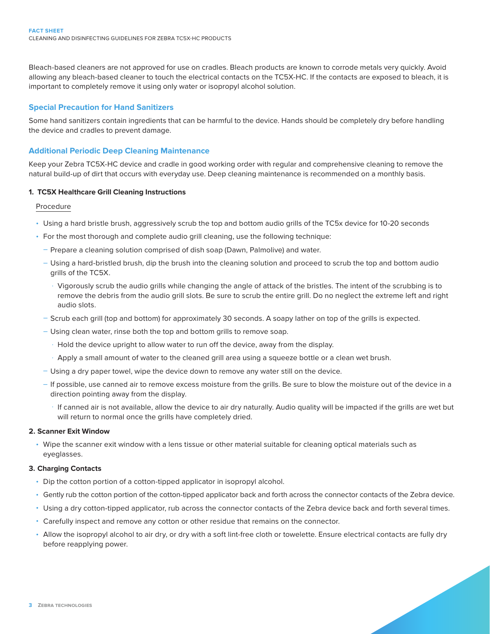Bleach-based cleaners are not approved for use on cradles. Bleach products are known to corrode metals very quickly. Avoid allowing any bleach-based cleaner to touch the electrical contacts on the TC5X-HC. If the contacts are exposed to bleach, it is important to completely remove it using only water or isopropyl alcohol solution.

## **Special Precaution for Hand Sanitizers**

Some hand sanitizers contain ingredients that can be harmful to the device. Hands should be completely dry before handling the device and cradles to prevent damage.

## **Additional Periodic Deep Cleaning Maintenance**

Keep your Zebra TC5X-HC device and cradle in good working order with regular and comprehensive cleaning to remove the natural build-up of dirt that occurs with everyday use. Deep cleaning maintenance is recommended on a monthly basis.

#### **1. TC5X Healthcare Grill Cleaning Instructions**

Procedure

- Using a hard bristle brush, aggressively scrub the top and bottom audio grills of the TC5x device for 10-20 seconds
- For the most thorough and complete audio grill cleaning, use the following technique:
	- Prepare a cleaning solution comprised of dish soap (Dawn, Palmolive) and water.
	- Using a hard-bristled brush, dip the brush into the cleaning solution and proceed to scrub the top and bottom audio grills of the TC5X.
		- · Vigorously scrub the audio grills while changing the angle of attack of the bristles. The intent of the scrubbing is to remove the debris from the audio grill slots. Be sure to scrub the entire grill. Do no neglect the extreme left and right audio slots.
	- Scrub each grill (top and bottom) for approximately 30 seconds. A soapy lather on top of the grills is expected.
	- Using clean water, rinse both the top and bottom grills to remove soap.
		- · Hold the device upright to allow water to run off the device, away from the display.
		- · Apply a small amount of water to the cleaned grill area using a squeeze bottle or a clean wet brush.
	- Using a dry paper towel, wipe the device down to remove any water still on the device.
	- If possible, use canned air to remove excess moisture from the grills. Be sure to blow the moisture out of the device in a direction pointing away from the display.
		- · If canned air is not available, allow the device to air dry naturally. Audio quality will be impacted if the grills are wet but will return to normal once the grills have completely dried.

#### **2. Scanner Exit Window**

• Wipe the scanner exit window with a lens tissue or other material suitable for cleaning optical materials such as eyeglasses.

#### **3. Charging Contacts**

- Dip the cotton portion of a cotton-tipped applicator in isopropyl alcohol.
- Gently rub the cotton portion of the cotton-tipped applicator back and forth across the connector contacts of the Zebra device.
- Using a dry cotton-tipped applicator, rub across the connector contacts of the Zebra device back and forth several times.
- Carefully inspect and remove any cotton or other residue that remains on the connector.
- Allow the isopropyl alcohol to air dry, or dry with a soft lint-free cloth or towelette. Ensure electrical contacts are fully dry before reapplying power.